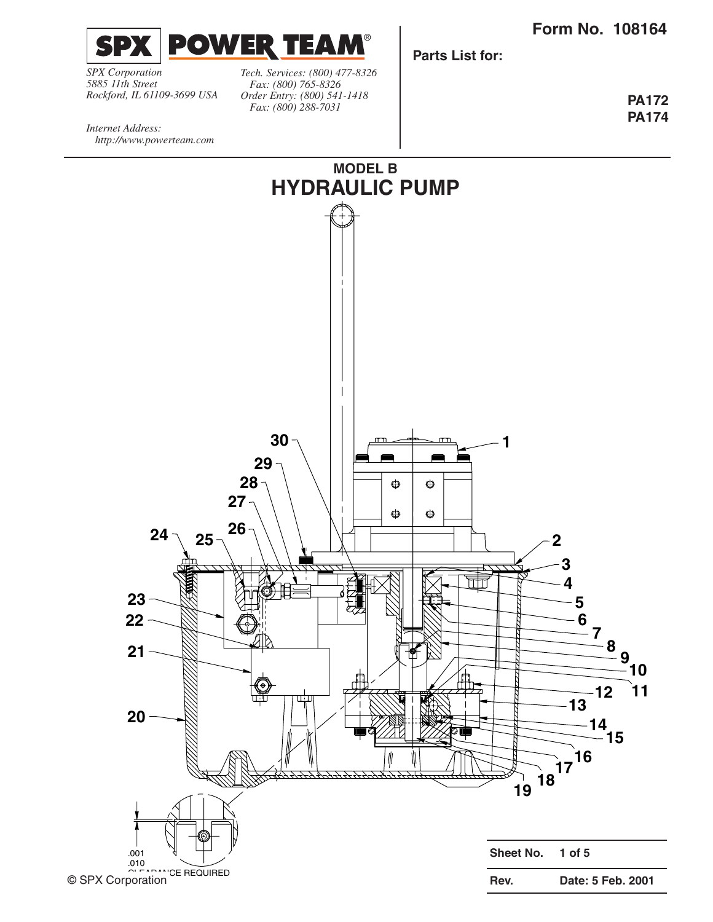**Form No. 108164**



**Parts List for:**

*SPX Corporation 5885 11th Street Rockford, IL 61109-3699 USA*

*Tech. Services: (800) 477-8326 Fax: (800) 765-8326 Order Entry: (800) 541-1418 Fax: (800) 288-7031*

**PA172 PA174**

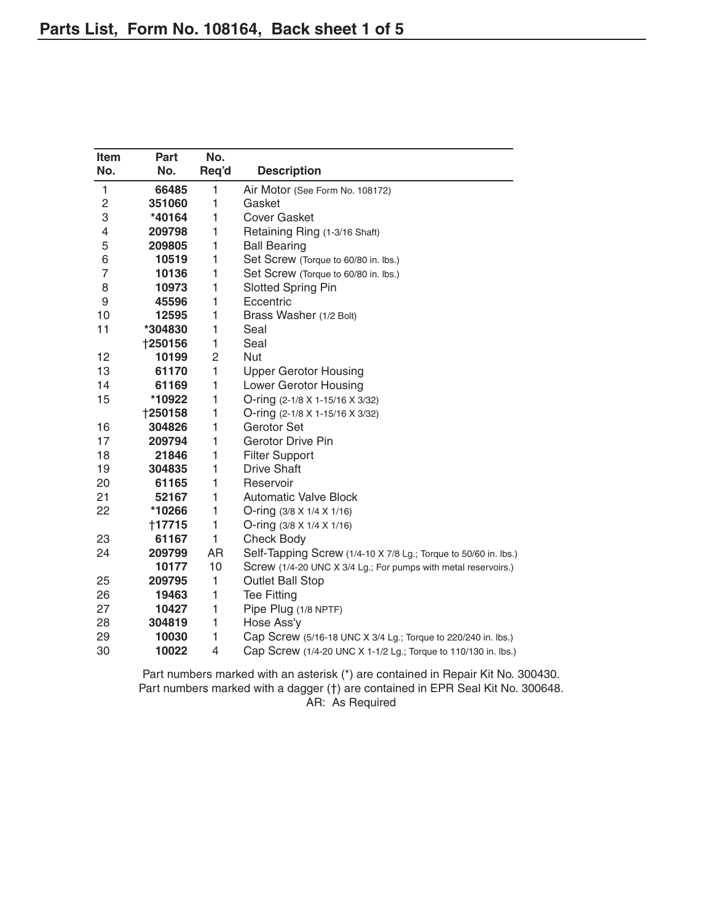| <b>Item</b> | Part           | No.   |                                                                 |
|-------------|----------------|-------|-----------------------------------------------------------------|
| No.         | No.            | Req'd | <b>Description</b>                                              |
| 1           | 66485          | 1     | Air Motor (See Form No. 108172)                                 |
| 2           | 351060         | 1     | Gasket                                                          |
| 3           | *40164         | 1     | Cover Gasket                                                    |
| 4           | 209798         | 1     | Retaining Ring (1-3/16 Shaft)                                   |
| 5           | 209805         | 1     | <b>Ball Bearing</b>                                             |
| 6           | 10519          | 1     | Set Screw (Torque to 60/80 in. lbs.)                            |
| 7           | 10136          | 1     | Set Screw (Torque to 60/80 in. lbs.)                            |
| 8           | 10973          | 1     | <b>Slotted Spring Pin</b>                                       |
| 9           | 45596          | 1     | Eccentric                                                       |
| 10          | 12595          | 1     | Brass Washer (1/2 Bolt)                                         |
| 11          | *304830        | 1     | Seal                                                            |
|             | <b>†250156</b> | 1     | Seal                                                            |
| 12          | 10199          | 2     | Nut                                                             |
| 13          | 61170          | 1     | <b>Upper Gerotor Housing</b>                                    |
| 14          | 61169          | 1     | Lower Gerotor Housing                                           |
| 15          | *10922         | 1     | O-ring (2-1/8 X 1-15/16 X 3/32)                                 |
|             | <b>†250158</b> | 1     | O-ring (2-1/8 X 1-15/16 X 3/32)                                 |
| 16          | 304826         | 1     | Gerotor Set                                                     |
| 17          | 209794         | 1     | <b>Gerotor Drive Pin</b>                                        |
| 18          | 21846          | 1     | <b>Filter Support</b>                                           |
| 19          | 304835         | 1     | <b>Drive Shaft</b>                                              |
| 20          | 61165          | 1     | Reservoir                                                       |
| 21          | 52167          | 1     | <b>Automatic Valve Block</b>                                    |
| 22          | *10266         | 1     | O-ring $(3/8 \times 1/4 \times 1/16)$                           |
|             | †17715         | 1     | O-ring (3/8 X 1/4 X 1/16)                                       |
| 23          | 61167          | 1     | Check Body                                                      |
| 24          | 209799         | AR    | Self-Tapping Screw (1/4-10 X 7/8 Lg.; Torque to 50/60 in. lbs.) |
|             | 10177          | 10    | Screw (1/4-20 UNC X 3/4 Lg.; For pumps with metal reservoirs.)  |
| 25          | 209795         | 1     | <b>Outlet Ball Stop</b>                                         |
| 26          | 19463          | 1     | <b>Tee Fitting</b>                                              |
| 27          | 10427          | 1     | Pipe Plug (1/8 NPTF)                                            |
| 28          | 304819         | 1     | Hose Ass'y                                                      |
| 29          | 10030          | 1     | Cap Screw (5/16-18 UNC X 3/4 Lg.; Torque to 220/240 in. lbs.)   |
| 30          | 10022          | 4     | Cap Screw (1/4-20 UNC X 1-1/2 Lg.; Torque to 110/130 in. lbs.)  |

Part numbers marked with an asterisk (\*) are contained in Repair Kit No. 300430. Part numbers marked with a dagger (†) are contained in EPR Seal Kit No. 300648. AR: As Required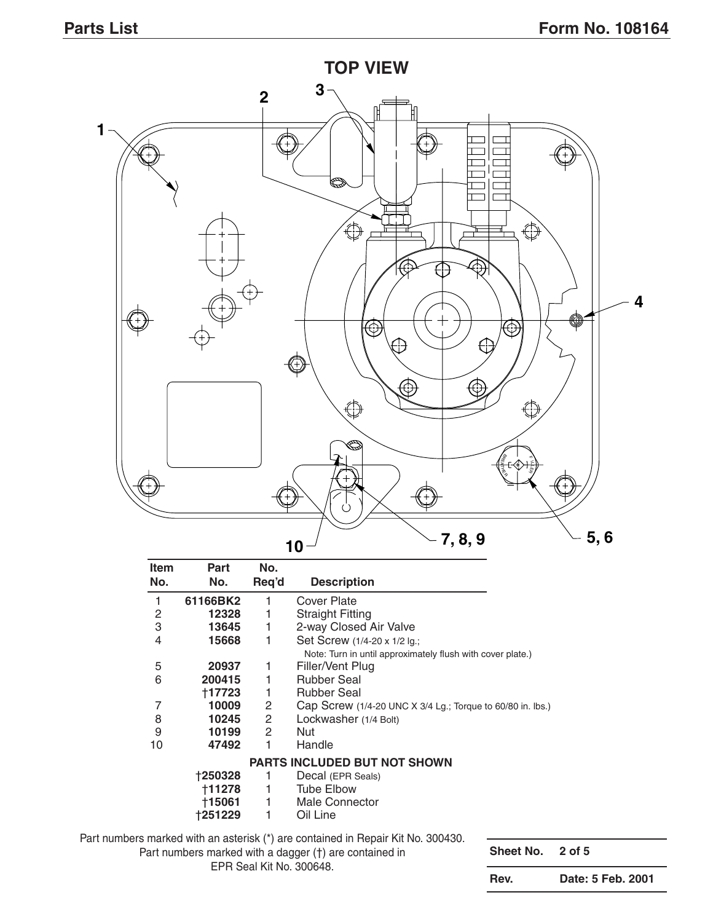

| Item           | Part     | No.                   |                                                                                                 |
|----------------|----------|-----------------------|-------------------------------------------------------------------------------------------------|
| No.            | No.      | Req'd                 | <b>Description</b>                                                                              |
| 1              | 61166BK2 |                       | Cover Plate                                                                                     |
| $\overline{c}$ | 12328    | 1                     | <b>Straight Fitting</b>                                                                         |
| 3              | 13645    | 1                     | 2-way Closed Air Valve                                                                          |
| 4              | 15668    | 1                     | Set Screw (1/4-20 x 1/2 lg.;                                                                    |
|                |          |                       | Note: Turn in until approximately flush with cover plate.)                                      |
| 5              | 20937    | 1                     | Filler/Vent Plug                                                                                |
| 6              | 200415   | 1.                    | <b>Rubber Seal</b>                                                                              |
|                | †17723   | 1                     | <b>Rubber Seal</b>                                                                              |
| 7              | 10009    | $\mathbf{2}^{\prime}$ | Cap Screw (1/4-20 UNC X 3/4 Lg.; Torque to 60/80 in. lbs.)                                      |
| 8              | 10245    | $\overline{2}$        | Lockwasher (1/4 Bolt)                                                                           |
| 9              | 10199    | $\mathbf{2}^{\circ}$  | Nut                                                                                             |
| 10             | 47492    | 1                     | Handle                                                                                          |
|                |          |                       | PARTS INCLUDED BUT NOT SHOWN                                                                    |
|                | †250328  |                       | Decal (EPR Seals)                                                                               |
|                | †11278   | 1                     | <b>Tube Elbow</b>                                                                               |
|                | †15061   | 1.                    | <b>Male Connector</b>                                                                           |
|                | †251229  | 1                     | Oil Line                                                                                        |
|                |          |                       | .000 000 ملكا الزكار بالمعمل على المومرا والمعموم وبعد (x) بالمتعملوم عزم والإثنين الموبابيومير |

Part numbers marked with an asterisk (\*) are contained in Repair Kit No. 300430.

Part numbers marked with a dagger (†) are contained in EPR Seal Kit No. 300648.

**Sheet No. 2 of 5**

**Rev. Date: 5 Feb. 2001**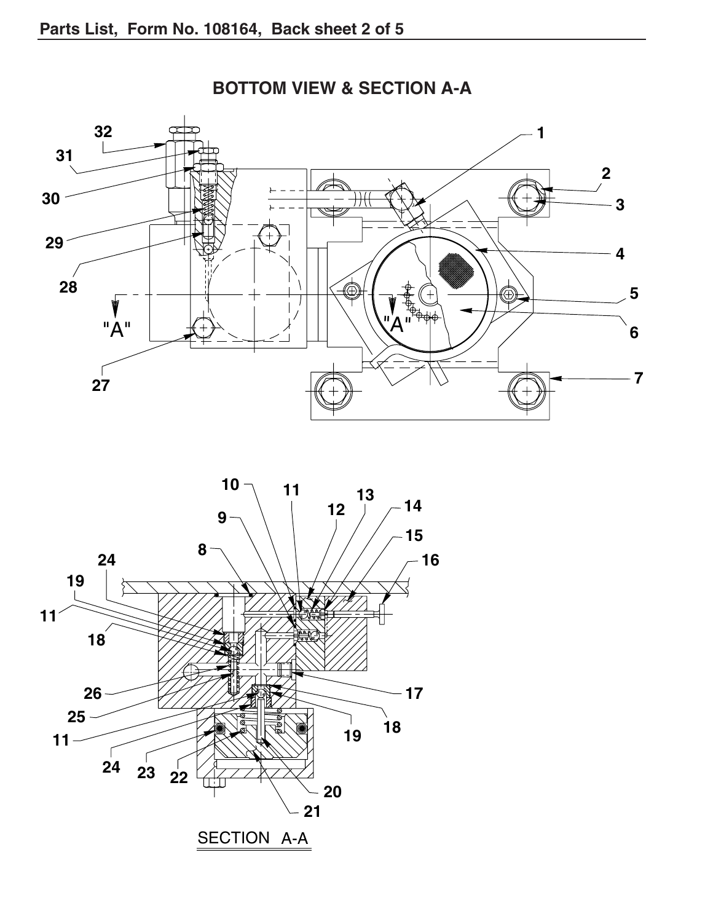

**BOTTOM VIEW & SECTION A-A**

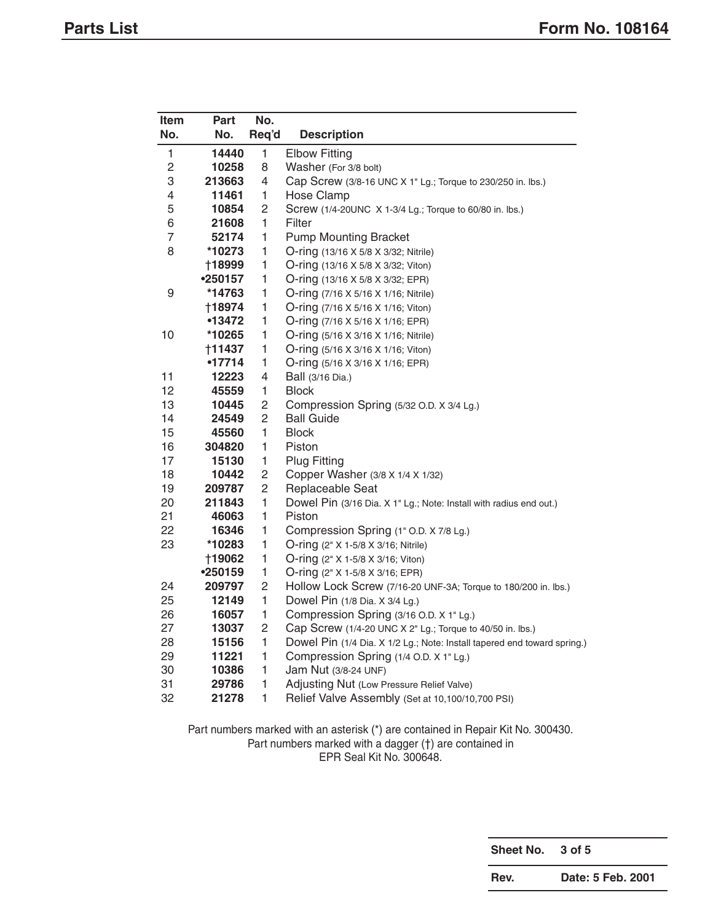| Item           | Part          | No.                      |                                                                          |  |  |  |  |
|----------------|---------------|--------------------------|--------------------------------------------------------------------------|--|--|--|--|
| No.            | No.           | Req'd                    | <b>Description</b>                                                       |  |  |  |  |
| 1              | 14440         | $\mathbf{1}$             | <b>Elbow Fitting</b>                                                     |  |  |  |  |
| $\sqrt{2}$     | 10258         | 8                        | Washer (For 3/8 bolt)                                                    |  |  |  |  |
| 3              | 213663        | 4                        | Cap Screw (3/8-16 UNC X 1" Lg.; Torque to 230/250 in. lbs.)              |  |  |  |  |
| $\overline{4}$ | 11461         | 1                        | <b>Hose Clamp</b>                                                        |  |  |  |  |
| $\mathbf 5$    | 10854         | $\overline{c}$           | Screw (1/4-20UNC X 1-3/4 Lg.; Torque to 60/80 in. lbs.)                  |  |  |  |  |
| 6              | 21608         | 1                        | Filter                                                                   |  |  |  |  |
| $\overline{7}$ | 52174         | 1                        | <b>Pump Mounting Bracket</b>                                             |  |  |  |  |
| 8              | *10273        | 1                        | O-ring (13/16 X 5/8 X 3/32; Nitrile)                                     |  |  |  |  |
|                | <b>†18999</b> | $\mathbf{1}$             | O-ring (13/16 X 5/8 X 3/32; Viton)                                       |  |  |  |  |
|                | •250157       | 1                        | O-ring (13/16 X 5/8 X 3/32; EPR)                                         |  |  |  |  |
| 9              | *14763        | 1                        | O-ring (7/16 X 5/16 X 1/16; Nitrile)                                     |  |  |  |  |
|                | †18974        | 1                        | O-ring (7/16 X 5/16 X 1/16; Viton)                                       |  |  |  |  |
|                | •13472        | 1                        | O-ring (7/16 X 5/16 X 1/16; EPR)                                         |  |  |  |  |
| 10             | *10265        | 1                        | O-ring (5/16 X 3/16 X 1/16; Nitrile)                                     |  |  |  |  |
|                | †11437        | 1                        | O-ring (5/16 X 3/16 X 1/16; Viton)                                       |  |  |  |  |
|                | •17714        | 1                        | O-ring (5/16 X 3/16 X 1/16; EPR)                                         |  |  |  |  |
| 11             | 12223         | $\overline{\mathcal{L}}$ | Ball (3/16 Dia.)                                                         |  |  |  |  |
| 12             | 45559         | 1                        | <b>Block</b>                                                             |  |  |  |  |
| 13             | 10445         | 2                        | Compression Spring (5/32 O.D. X 3/4 Lg.)                                 |  |  |  |  |
| 14             | 24549         | $\overline{c}$           | <b>Ball Guide</b>                                                        |  |  |  |  |
| 15             | 45560         | 1                        | <b>Block</b>                                                             |  |  |  |  |
| 16             | 304820        | $\mathbf{1}$             | Piston                                                                   |  |  |  |  |
| 17             | 15130         | $\mathbf{1}$             | <b>Plug Fitting</b>                                                      |  |  |  |  |
| 18             | 10442         | 2                        | Copper Washer (3/8 X 1/4 X 1/32)                                         |  |  |  |  |
| 19             | 209787        | $\overline{c}$           | Replaceable Seat                                                         |  |  |  |  |
| 20             | 211843        | 1                        | Dowel Pin (3/16 Dia. X 1" Lg.; Note: Install with radius end out.)       |  |  |  |  |
| 21             | 46063         | $\mathbf{1}$             | Piston                                                                   |  |  |  |  |
| 22             | 16346         | 1                        | Compression Spring (1" O.D. X 7/8 Lg.)                                   |  |  |  |  |
| 23             | *10283        | 1                        | O-ring (2" X 1-5/8 X 3/16; Nitrile)                                      |  |  |  |  |
|                | <b>†19062</b> | 1                        | O-ring (2" X 1-5/8 X 3/16; Viton)                                        |  |  |  |  |
|                | •250159       | $\mathbf{1}$             | O-ring (2" X 1-5/8 X 3/16; EPR)                                          |  |  |  |  |
| 24             | 209797        | $\overline{c}$           | Hollow Lock Screw (7/16-20 UNF-3A; Torque to 180/200 in. lbs.)           |  |  |  |  |
| 25             | 12149         | 1                        | Dowel Pin (1/8 Dia. X 3/4 Lg.)                                           |  |  |  |  |
| 26             | 16057         | 1                        | Compression Spring (3/16 O.D. X 1" Lg.)                                  |  |  |  |  |
| 27             | 13037         | $\overline{c}$           | Cap Screw (1/4-20 UNC X 2" Lg.; Torque to 40/50 in. lbs.)                |  |  |  |  |
| 28             | 15156         | 1                        | Dowel Pin (1/4 Dia. X 1/2 Lg.; Note: Install tapered end toward spring.) |  |  |  |  |
| 29             | 11221         | 1                        | Compression Spring (1/4 O.D. X 1" Lg.)                                   |  |  |  |  |
| 30             | 10386         | 1                        | Jam Nut (3/8-24 UNF)                                                     |  |  |  |  |
| 31             | 29786         | 1                        | Adjusting Nut (Low Pressure Relief Valve)                                |  |  |  |  |
| 32             | 21278         | $\mathbf{1}$             | Relief Valve Assembly (Set at 10,100/10,700 PSI)                         |  |  |  |  |

Part numbers marked with an asterisk (\*) are contained in Repair Kit No. 300430. Part numbers marked with a dagger (†) are contained in

EPR Seal Kit No. 300648.

**Sheet No. 3 of 5**

**Rev. Date: 5 Feb. 2001**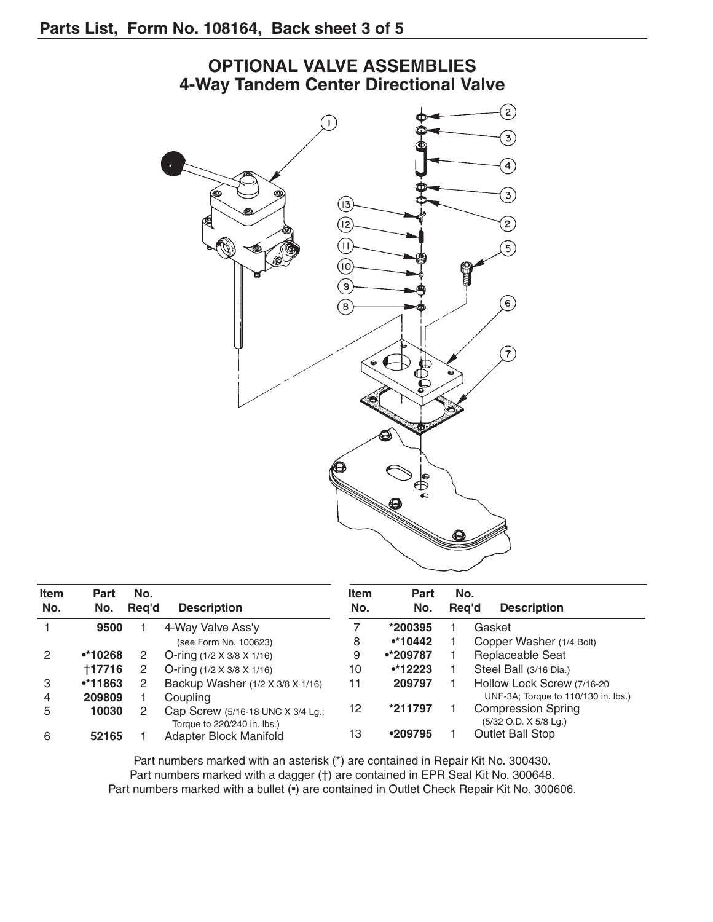

| <b>Item</b><br>No. | Part<br>No. | No.<br>Reg'd | <b>Description</b>                                               | <b>Item</b><br>No. | <b>Part</b><br>No. | No.<br>Rea'd | <b>Description</b>                                 |
|--------------------|-------------|--------------|------------------------------------------------------------------|--------------------|--------------------|--------------|----------------------------------------------------|
|                    | 9500        |              | 4-Way Valve Ass'y                                                |                    | *200395            |              | Gasket                                             |
|                    |             |              | (see Form No. 100623)                                            | 8                  | $•*10442$          |              | Copper Washer (1/4 Bolt)                           |
| 2                  | $•*10268$   |              | O-ring $(1/2 \times 3/8 \times 1/16)$                            | 9                  | •*209787           |              | Replaceable Seat                                   |
|                    | †17716      |              | O-ring $(1/2 \times 3/8 \times 1/16)$                            | 10                 | $•*12223$          |              | Steel Ball (3/16 Dia.)                             |
| 3                  | $•*11863$   |              | Backup Washer (1/2 X 3/8 X 1/16)                                 | 11                 | 209797             |              | Hollow Lock Screw (7/16-20                         |
| 4                  | 209809      |              | Coupling                                                         |                    |                    |              | UNF-3A; Torque to 110/130 in. lbs.)                |
| 5                  | 10030       |              | Cap Screw (5/16-18 UNC X 3/4 Lg.;<br>Torque to 220/240 in. lbs.) | 12                 | *211797            |              | <b>Compression Spring</b><br>(5/32 O.D. X 5/8 Lg.) |
| 6                  | 52165       |              | Adapter Block Manifold                                           | 13                 | •209795            |              | Outlet Ball Stop                                   |

Part numbers marked with an asterisk (\*) are contained in Repair Kit No. 300430. Part numbers marked with a dagger (†) are contained in EPR Seal Kit No. 300648. Part numbers marked with a bullet (•) are contained in Outlet Check Repair Kit No. 300606.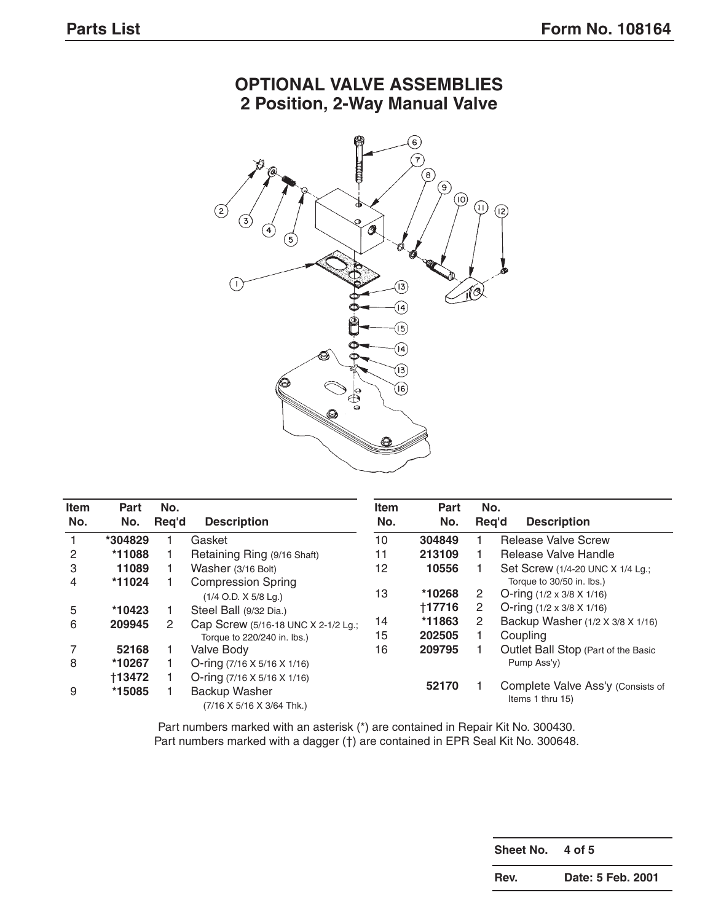

## **OPTIONAL VALVE ASSEMBLIES 2 Position, 2-Way Manual Valve**

| <b>Item</b><br>No. | Part<br>No.   | No.<br>Reg'd | <b>Description</b>                      | <b>Item</b><br>No. | Part<br>No. | No.<br>Reg'd | <b>Description</b>                    |
|--------------------|---------------|--------------|-----------------------------------------|--------------------|-------------|--------------|---------------------------------------|
|                    | *304829       |              | Gasket                                  | 10                 | 304849      |              | Release Valve Screw                   |
| 2                  | *11088        |              | Retaining Ring (9/16 Shaft)             | 11                 | 213109      |              | Release Valve Handle                  |
| 3                  | 11089         |              | Washer (3/16 Bolt)                      | 12                 | 10556       |              | Set Screw (1/4-20 UNC X 1/4 Lg.;      |
| 4                  | *11024        |              | <b>Compression Spring</b>               |                    |             |              | Torque to 30/50 in. lbs.)             |
|                    |               |              | $(1/4$ O.D. X $5/8$ Lg.)                | 13                 | *10268      | 2            | O-ring $(1/2 \times 3/8 \times 1/16)$ |
| 5                  | *10423        |              | Steel Ball (9/32 Dia.)                  |                    | +17716      | 2            | O-ring $(1/2 \times 3/8 \times 1/16)$ |
| 6                  | 209945        | 2            | Cap Screw (5/16-18 UNC X 2-1/2 Lg.;     | 14                 | *11863      | 2            | Backup Washer (1/2 X 3/8 X 1/16)      |
|                    |               |              | Torque to 220/240 in. lbs.)             | 15                 | 202505      |              | Coupling                              |
|                    | 52168         |              | <b>Valve Body</b>                       | 16                 | 209795      |              | Outlet Ball Stop (Part of the Basic   |
| 8                  | *10267        |              | O-ring $(7/16 \times 5/16 \times 1/16)$ |                    |             |              | Pump Ass'y)                           |
|                    | <b>†13472</b> |              | O-ring $(7/16 \times 5/16 \times 1/16)$ |                    |             |              |                                       |
| 9                  | *15085        |              | Backup Washer                           |                    | 52170       |              | Complete Valve Ass'y (Consists of     |
|                    |               |              | (7/16 X 5/16 X 3/64 Thk.)               |                    |             |              | Items 1 thru 15)                      |

Part numbers marked with an asterisk (\*) are contained in Repair Kit No. 300430. Part numbers marked with a dagger (†) are contained in EPR Seal Kit No. 300648.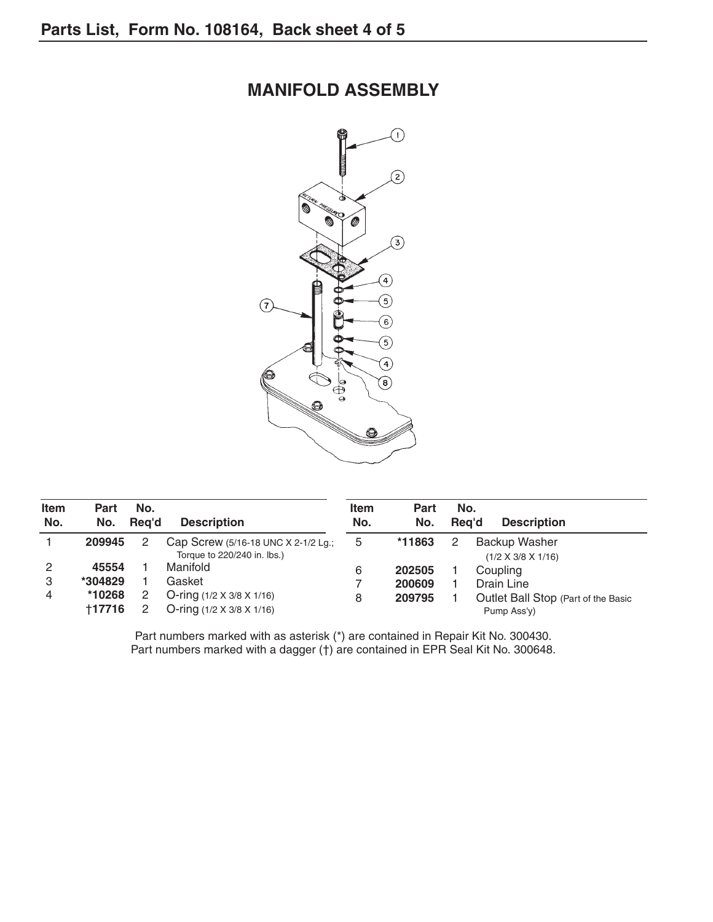## **MANIFOLD ASSEMBLY**



| <b>Item</b><br>No. | Part<br>No. | No.<br>Reg'd | <b>Description</b>                                                 | <b>Item</b><br>No. | Part<br>No. | No.<br>Rea'd | <b>Description</b>                              |
|--------------------|-------------|--------------|--------------------------------------------------------------------|--------------------|-------------|--------------|-------------------------------------------------|
|                    | 209945      |              | Cap Screw (5/16-18 UNC X 2-1/2 Lg.;<br>Torque to 220/240 in. lbs.) | 5                  | *11863      | 2            | Backup Washer<br>$(1/2 \times 3/8 \times 1/16)$ |
| 2                  | 45554       |              | Manifold                                                           | 6                  | 202505      |              | Coupling                                        |
| 3                  | *304829     |              | Gasket                                                             |                    | 200609      |              | Drain Line                                      |
| 4                  | *10268      |              | O-ring $(1/2 \times 3/8 \times 1/16)$                              | 8                  | 209795      |              | Outlet Ball Stop (Part of the Basic             |
|                    | +17716      |              | O-ring $(1/2 \times 3/8 \times 1/16)$                              |                    |             |              | Pump Ass'y)                                     |

Part numbers marked with as asterisk (\*) are contained in Repair Kit No. 300430. Part numbers marked with a dagger (†) are contained in EPR Seal Kit No. 300648.